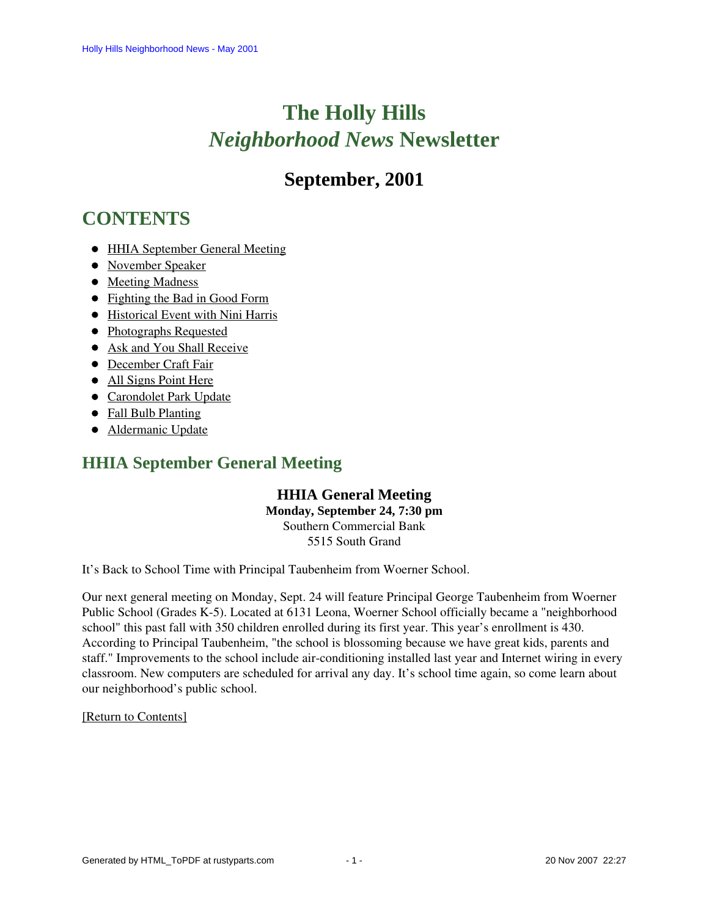# **The Holly Hills**  *Neighborhood News* **Newsletter**

# **September, 2001**

# <span id="page-0-2"></span>**CONTENTS**

- [HHIA September General Meeting](#page-0-0)
- [November Speaker](#page-0-1)
- [Meeting Madness](#page-1-0)
- [Fighting the Bad in Good Form](#page-1-1)
- [Historical Event with Nini Harris](#page-2-0)
- [Photographs Requested](#page-2-1)
- [Ask and You Shall Receive](#page-2-2)
- [December Craft Fair](#page-2-3)
- [All Signs Point Here](#page-4-0)
- [Carondolet Park Update](#page-3-0)
- [Fall Bulb Planting](#page-3-1)
- [Aldermanic Update](#page-3-2)

# <span id="page-0-0"></span>**HHIA September General Meeting**

## **HHIA General Meeting**

**Monday, September 24, 7:30 pm** Southern Commercial Bank 5515 South Grand

It's Back to School Time with Principal Taubenheim from Woerner School.

Our next general meeting on Monday, Sept. 24 will feature Principal George Taubenheim from Woerner Public School (Grades K-5). Located at 6131 Leona, Woerner School officially became a "neighborhood school" this past fall with 350 children enrolled during its first year. This year's enrollment is 430. According to Principal Taubenheim, "the school is blossoming because we have great kids, parents and staff." Improvements to the school include air-conditioning installed last year and Internet wiring in every classroom. New computers are scheduled for arrival any day. It's school time again, so come learn about our neighborhood's public school.

### <span id="page-0-1"></span>[\[Return to Contents\]](#page-0-2)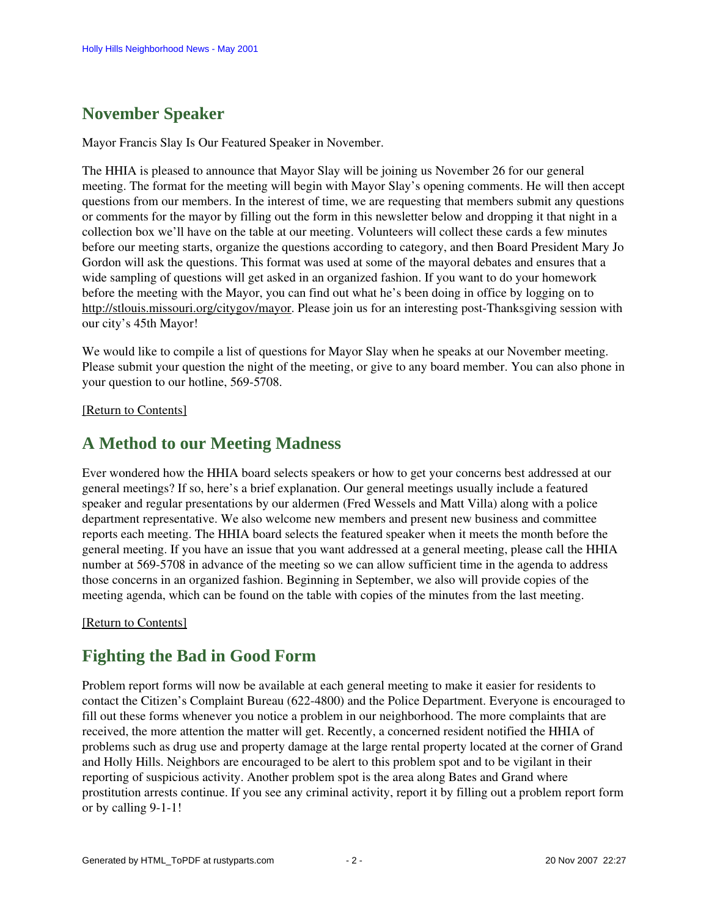# **November Speaker**

Mayor Francis Slay Is Our Featured Speaker in November.

The HHIA is pleased to announce that Mayor Slay will be joining us November 26 for our general meeting. The format for the meeting will begin with Mayor Slay's opening comments. He will then accept questions from our members. In the interest of time, we are requesting that members submit any questions or comments for the mayor by filling out the form in this newsletter below and dropping it that night in a collection box we'll have on the table at our meeting. Volunteers will collect these cards a few minutes before our meeting starts, organize the questions according to category, and then Board President Mary Jo Gordon will ask the questions. This format was used at some of the mayoral debates and ensures that a wide sampling of questions will get asked in an organized fashion. If you want to do your homework before the meeting with the Mayor, you can find out what he's been doing in office by logging on to [http://stlouis.missouri.org/citygov/mayor.](http://stlouis.Missouri.org/citygov/mayor) Please join us for an interesting post-Thanksgiving session with our city's 45th Mayor!

We would like to compile a list of questions for Mayor Slay when he speaks at our November meeting. Please submit your question the night of the meeting, or give to any board member. You can also phone in your question to our hotline, 569-5708.

<span id="page-1-0"></span>[\[Return to Contents\]](#page-0-2)

# **A Method to our Meeting Madness**

Ever wondered how the HHIA board selects speakers or how to get your concerns best addressed at our general meetings? If so, here's a brief explanation. Our general meetings usually include a featured speaker and regular presentations by our aldermen (Fred Wessels and Matt Villa) along with a police department representative. We also welcome new members and present new business and committee reports each meeting. The HHIA board selects the featured speaker when it meets the month before the general meeting. If you have an issue that you want addressed at a general meeting, please call the HHIA number at 569-5708 in advance of the meeting so we can allow sufficient time in the agenda to address those concerns in an organized fashion. Beginning in September, we also will provide copies of the meeting agenda, which can be found on the table with copies of the minutes from the last meeting.

#### <span id="page-1-1"></span>[\[Return to Contents\]](#page-0-2)

# **Fighting the Bad in Good Form**

Problem report forms will now be available at each general meeting to make it easier for residents to contact the Citizen's Complaint Bureau (622-4800) and the Police Department. Everyone is encouraged to fill out these forms whenever you notice a problem in our neighborhood. The more complaints that are received, the more attention the matter will get. Recently, a concerned resident notified the HHIA of problems such as drug use and property damage at the large rental property located at the corner of Grand and Holly Hills. Neighbors are encouraged to be alert to this problem spot and to be vigilant in their reporting of suspicious activity. Another problem spot is the area along Bates and Grand where prostitution arrests continue. If you see any criminal activity, report it by filling out a problem report form or by calling 9-1-1!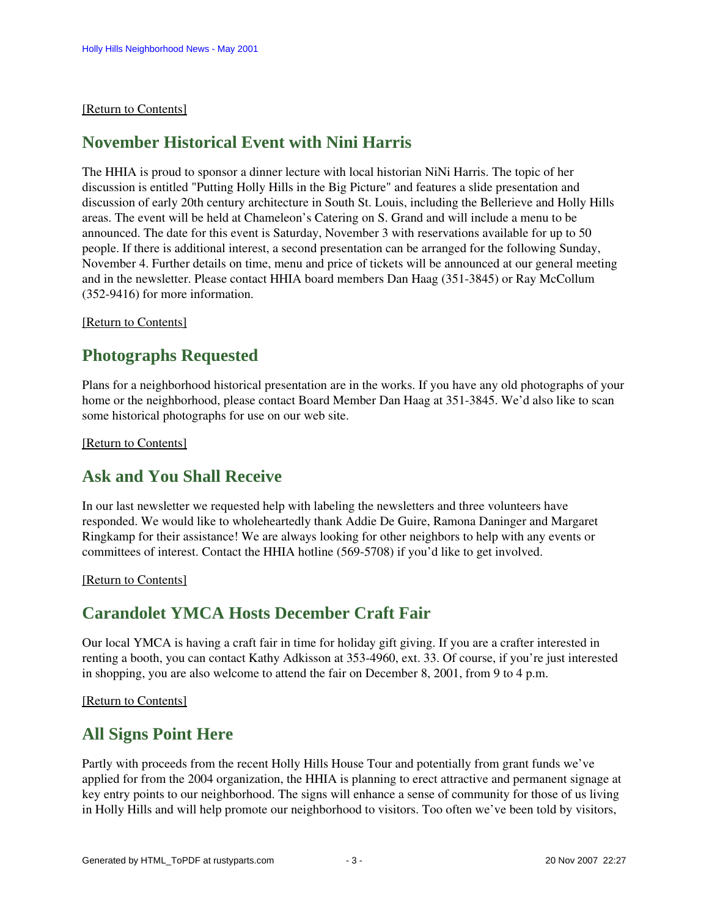#### <span id="page-2-0"></span>[\[Return to Contents\]](#page-0-2)

## **November Historical Event with Nini Harris**

The HHIA is proud to sponsor a dinner lecture with local historian NiNi Harris. The topic of her discussion is entitled "Putting Holly Hills in the Big Picture" and features a slide presentation and discussion of early 20th century architecture in South St. Louis, including the Bellerieve and Holly Hills areas. The event will be held at Chameleon's Catering on S. Grand and will include a menu to be announced. The date for this event is Saturday, November 3 with reservations available for up to 50 people. If there is additional interest, a second presentation can be arranged for the following Sunday, November 4. Further details on time, menu and price of tickets will be announced at our general meeting and in the newsletter. Please contact HHIA board members Dan Haag (351-3845) or Ray McCollum (352-9416) for more information.

#### <span id="page-2-1"></span>[\[Return to Contents\]](#page-0-2)

## **Photographs Requested**

Plans for a neighborhood historical presentation are in the works. If you have any old photographs of your home or the neighborhood, please contact Board Member Dan Haag at 351-3845. We'd also like to scan some historical photographs for use on our web site.

<span id="page-2-2"></span>[\[Return to Contents\]](#page-0-2) 

## **Ask and You Shall Receive**

In our last newsletter we requested help with labeling the newsletters and three volunteers have responded. We would like to wholeheartedly thank Addie De Guire, Ramona Daninger and Margaret Ringkamp for their assistance! We are always looking for other neighbors to help with any events or committees of interest. Contact the HHIA hotline (569-5708) if you'd like to get involved.

<span id="page-2-3"></span>[\[Return to Contents\]](#page-0-2)

## **Carandolet YMCA Hosts December Craft Fair**

Our local YMCA is having a craft fair in time for holiday gift giving. If you are a crafter interested in renting a booth, you can contact Kathy Adkisson at 353-4960, ext. 33. Of course, if you're just interested in shopping, you are also welcome to attend the fair on December 8, 2001, from 9 to 4 p.m.

[\[Return to Contents\]](#page-0-2)

## **All Signs Point Here**

Partly with proceeds from the recent Holly Hills House Tour and potentially from grant funds we've applied for from the 2004 organization, the HHIA is planning to erect attractive and permanent signage at key entry points to our neighborhood. The signs will enhance a sense of community for those of us living in Holly Hills and will help promote our neighborhood to visitors. Too often we've been told by visitors,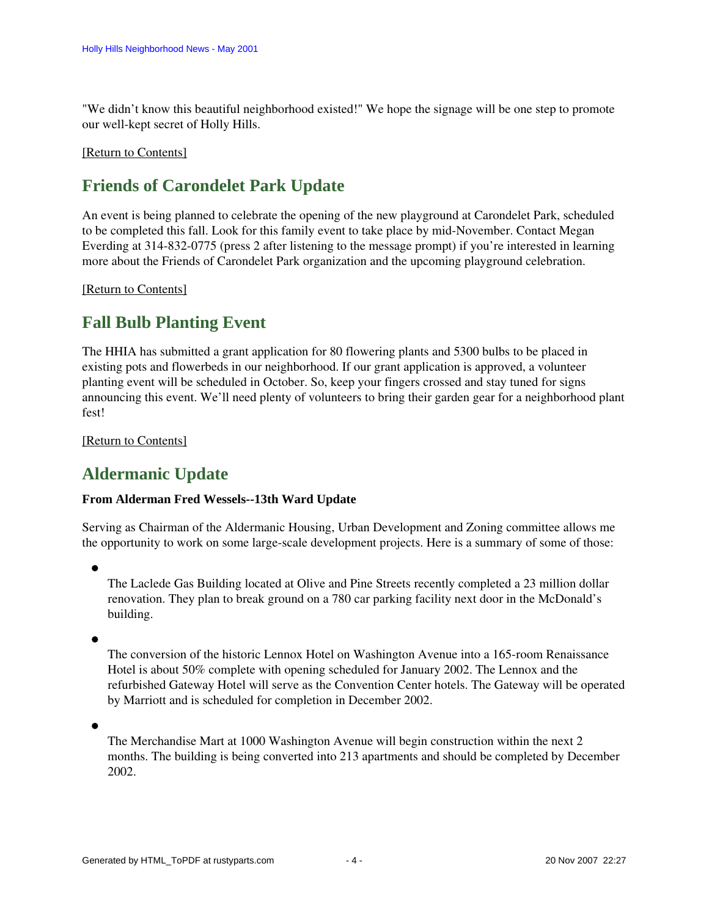"We didn't know this beautiful neighborhood existed!" We hope the signage will be one step to promote our well-kept secret of Holly Hills.

#### [\[Return to Contents\]](#page-0-2)

# <span id="page-3-0"></span>**Friends of Carondelet Park Update**

An event is being planned to celebrate the opening of the new playground at Carondelet Park, scheduled to be completed this fall. Look for this family event to take place by mid-November. Contact Megan Everding at 314-832-0775 (press 2 after listening to the message prompt) if you're interested in learning more about the Friends of Carondelet Park organization and the upcoming playground celebration.

#### [\[Return to Contents\]](#page-0-2)

# <span id="page-3-1"></span>**Fall Bulb Planting Event**

The HHIA has submitted a grant application for 80 flowering plants and 5300 bulbs to be placed in existing pots and flowerbeds in our neighborhood. If our grant application is approved, a volunteer planting event will be scheduled in October. So, keep your fingers crossed and stay tuned for signs announcing this event. We'll need plenty of volunteers to bring their garden gear for a neighborhood plant fest!

#### [\[Return to Contents\]](#page-0-2)

# <span id="page-3-2"></span>**Aldermanic Update**

### **From Alderman Fred Wessels--13th Ward Update**

Serving as Chairman of the Aldermanic Housing, Urban Development and Zoning committee allows me the opportunity to work on some large-scale development projects. Here is a summary of some of those:

The Laclede Gas Building located at Olive and Pine Streets recently completed a 23 million dollar renovation. They plan to break ground on a 780 car parking facility next door in the McDonald's building.

The conversion of the historic Lennox Hotel on Washington Avenue into a 165-room Renaissance Hotel is about 50% complete with opening scheduled for January 2002. The Lennox and the refurbished Gateway Hotel will serve as the Convention Center hotels. The Gateway will be operated by Marriott and is scheduled for completion in December 2002.

The Merchandise Mart at 1000 Washington Avenue will begin construction within the next 2 months. The building is being converted into 213 apartments and should be completed by December 2002.